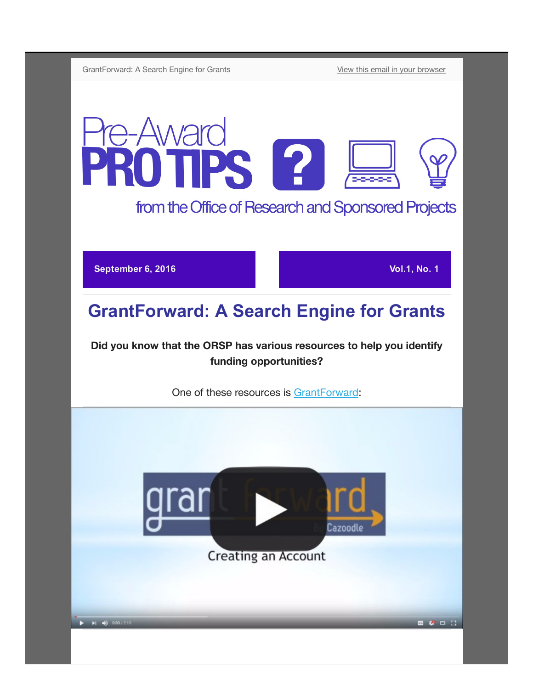GrantForward: A Search Engine for Grants [View this email in your browser](http://us13.campaign-archive1.com/?u=da65d94a037c71fb992ffa034&id=106d716a9e&e=[UNIQID])